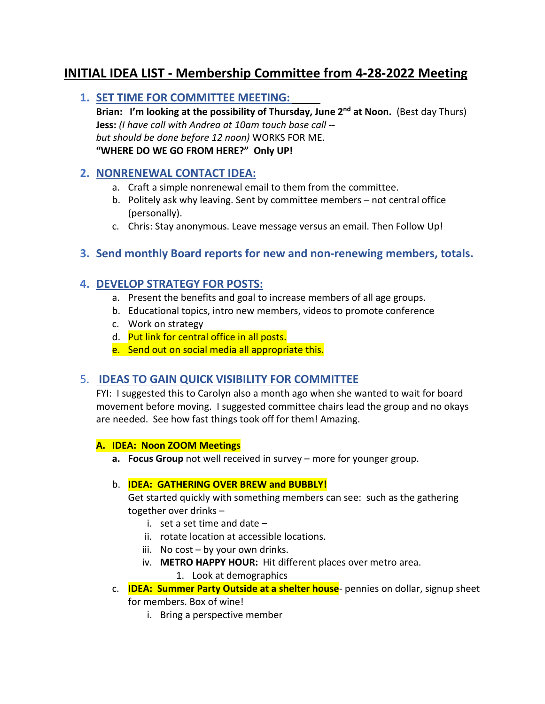# **INITIAL IDEA LIST - Membership Committee from 4-28-2022 Meeting**

## **1. SET TIME FOR COMMITTEE MEETING:**

**Brian: I'm looking at the possibility of Thursday, June 2nd at Noon.** (Best day Thurs) **Jess:** *(I have call with Andrea at 10am touch base call - but should be done before 12 noon)* WORKS FOR ME. **"WHERE DO WE GO FROM HERE?" Only UP!**

## **2. NONRENEWAL CONTACT IDEA:**

- a. Craft a simple nonrenewal email to them from the committee.
- b. Politely ask why leaving. Sent by committee members not central office (personally).
- c. Chris: Stay anonymous. Leave message versus an email. Then Follow Up!

## **3. Send monthly Board reports for new and non-renewing members, totals.**

## **4. DEVELOP STRATEGY FOR POSTS:**

- a. Present the benefits and goal to increase members of all age groups.
- b. Educational topics, intro new members, videos to promote conference
- c. Work on strategy
- d. Put link for central office in all posts.
- e. Send out on social media all appropriate this.

## 5. **IDEAS TO GAIN QUICK VISIBILITY FOR COMMITTEE**

FYI: I suggested this to Carolyn also a month ago when she wanted to wait for board movement before moving. I suggested committee chairs lead the group and no okays are needed. See how fast things took off for them! Amazing.

#### **A. IDEA: Noon ZOOM Meetings**

**a. Focus Group** not well received in survey – more for younger group.

#### b. **IDEA: GATHERING OVER BREW and BUBBLY!**

Get started quickly with something members can see: such as the gathering together over drinks –

- i. set a set time and date –
- ii. rotate location at accessible locations.
- iii. No cost by your own drinks.
- iv. **METRO HAPPY HOUR:** Hit different places over metro area.

#### 1. Look at demographics

- c. **IDEA: Summer Party Outside at a shelter house** pennies on dollar, signup sheet for members. Box of wine!
	- i. Bring a perspective member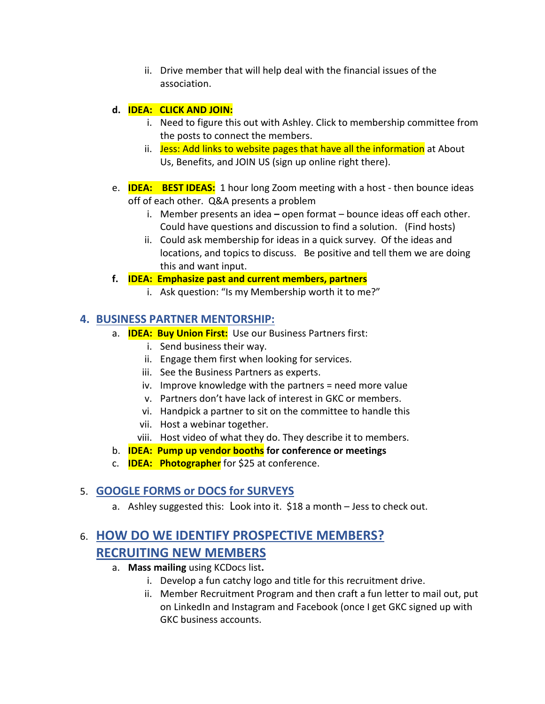ii. Drive member that will help deal with the financial issues of the association.

## **d. IDEA: CLICK AND JOIN:**

- i. Need to figure this out with Ashley. Click to membership committee from the posts to connect the members.
- ii. Jess: Add links to website pages that have all the information at About Us, Benefits, and JOIN US (sign up online right there).
- e. **IDEA: BEST IDEAS:** 1 hour long Zoom meeting with a host then bounce ideas off of each other. Q&A presents a problem
	- i. Member presents an idea **–** open format bounce ideas off each other. Could have questions and discussion to find a solution. (Find hosts)
	- ii. Could ask membership for ideas in a quick survey. Of the ideas and locations, and topics to discuss. Be positive and tell them we are doing this and want input.

#### **f. IDEA: Emphasize past and current members, partners**

i. Ask question: "Is my Membership worth it to me?"

# **4. BUSINESS PARTNER MENTORSHIP:**

- a. **IDEA: Buy Union First:** Use our Business Partners first:
	- i. Send business their way.
	- ii. Engage them first when looking for services.
	- iii. See the Business Partners as experts.
	- iv. Improve knowledge with the partners = need more value
	- v. Partners don't have lack of interest in GKC or members.
	- vi. Handpick a partner to sit on the committee to handle this
	- vii. Host a webinar together.
	- viii. Host video of what they do. They describe it to members.
- b. **IDEA: Pump up vendor booths for conference or meetings**
- c. **IDEA: Photographer** for \$25 at conference.

# 5. **GOOGLE FORMS or DOCS for SURVEYS**

a. Ashley suggested this:Look into it. \$18 a month – Jess to check out.

# 6. **HOW DO WE IDENTIFY PROSPECTIVE MEMBERS? RECRUITING NEW MEMBERS**

- a. **Mass mailing** using KCDocs list**.** 
	- i. Develop a fun catchy logo and title for this recruitment drive.
	- ii. Member Recruitment Program and then craft a fun letter to mail out, put on LinkedIn and Instagram and Facebook (once I get GKC signed up with GKC business accounts.